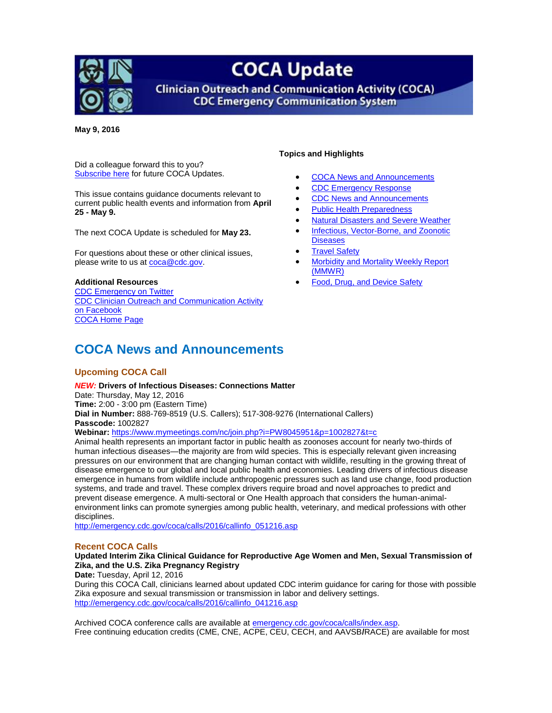<span id="page-0-1"></span>

# **COCA Update**

**Clinician Outreach and Communication Activity (COCA) CDC Emergency Communication System** 

**May 9, 2016**

Did a colleague forward this to you? [Subscribe](http://emergency.cdc.gov/coca/subscribe.asp) here for future COCA Updates.

This issue contains guidance documents relevant to current public health events and information from **April 25 - May 9.**

The next COCA Update is scheduled for **May 23.**

For questions about these or other clinical issues, please write to us a[t coca@cdc.gov.](mailto:coca@cdc.gov)

#### **Additional Resources**

[CDC Emergency on Twitter](http://twitter.com/cdcemergency) [CDC Clinician Outreach and Communication Activity](https://www.facebook.com/CDCClinicianOutreachAndCommunicationActivity)  [on Facebook](https://www.facebook.com/CDCClinicianOutreachAndCommunicationActivity) [COCA Home Page](http://emergency.cdc.gov/coca?s_cid=ccu092611_001)

#### **Topics and Highlights**

- [COCA News and Announcements](#page-0-0)
- [CDC Emergency Response](#page-1-0)
- [CDC News and Announcements](#page-3-0)
- [Public Health Preparedness](#page-4-0)
- [Natural Disasters and Severe Weather](#page-4-1)
- [Infectious, Vector-Borne, and Zoonotic](#page-4-2)
- **[Diseases](#page-4-2)**
- [Travel Safety](#page-5-0)
- [Morbidity and Mortality Weekly Report](#page-5-1)  [\(MMWR\)](#page-5-1)
- [Food, Drug, and Device Safety](#page-5-2)

### <span id="page-0-0"></span>**COCA News and Announcements**

#### **Upcoming COCA Call**

#### *NEW:* **Drivers of Infectious Diseases: Connections Matter**  Date: Thursday, May 12, 2016 **Time:** 2:00 - 3:00 pm (Eastern Time) **Dial in Number:** 888-769-8519 (U.S. Callers); 517-308-9276 (International Callers) **Passcode:** 1002827 **Webinar:** <https://www.mymeetings.com/nc/join.php?i=PW8045951&p=1002827&t=c>

Animal health represents an important factor in public health as zoonoses account for nearly two-thirds of human infectious diseases—the majority are from wild species. This is especially relevant given increasing pressures on our environment that are changing human contact with wildlife, resulting in the growing threat of disease emergence to our global and local public health and economies. Leading drivers of infectious disease emergence in humans from wildlife include anthropogenic pressures such as land use change, food production systems, and trade and travel. These complex drivers require broad and novel approaches to predict and prevent disease emergence. A multi-sectoral or One Health approach that considers the human-animalenvironment links can promote synergies among public health, veterinary, and medical professions with other disciplines.

[http://emergency.cdc.gov/coca/calls/2016/callinfo\\_051216.asp](http://emergency.cdc.gov/coca/calls/2016/callinfo_051216.asp)

#### **Recent COCA Calls**

**Updated Interim Zika Clinical Guidance for Reproductive Age Women and Men, Sexual Transmission of Zika, and the U.S. Zika Pregnancy Registry**

**Date:** Tuesday, April 12, 2016

During this COCA Call, clinicians learned about updated CDC interim guidance for caring for those with possible Zika exposure and sexual transmission or transmission in labor and delivery settings. [http://emergency.cdc.gov/coca/calls/2016/callinfo\\_041216.asp](http://emergency.cdc.gov/coca/calls/2016/callinfo_041216.asp)

Archived COCA conference calls are available at [emergency.cdc.gov/coca/calls/index.asp.](http://emergency.cdc.gov/coca/calls/index.asp) Free continuing education credits (CME, CNE, ACPE, CEU, CECH, and AAVSB**/**RACE) are available for most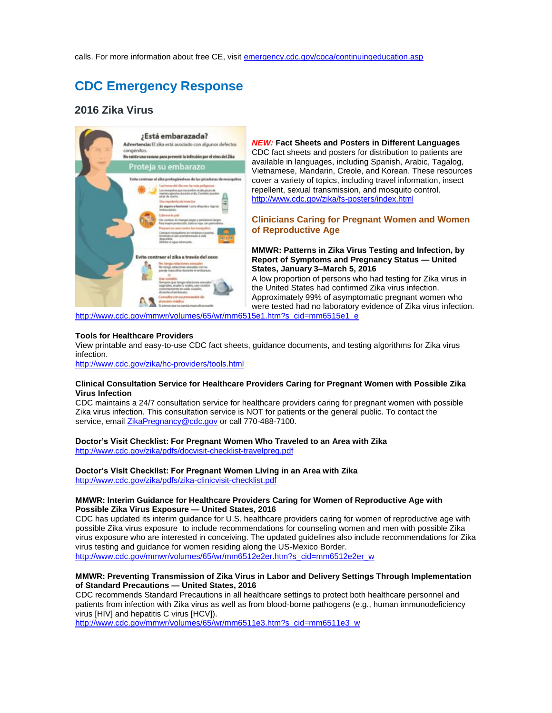# <span id="page-1-0"></span>**CDC Emergency Response**

### **2016 Zika Virus**



*NEW:* **Fact Sheets and Posters in Different Languages** CDC fact sheets and posters for distribution to patients are available in languages, including Spanish, Arabic, Tagalog, Vietnamese, Mandarin, Creole, and Korean. These resources cover a variety of topics, including travel information, insect repellent, sexual transmission, and mosquito control. <http://www.cdc.gov/zika/fs-posters/index.html>

#### **Clinicians Caring for Pregnant Women and Women of Reproductive Age**

**MMWR: Patterns in Zika Virus Testing and Infection, by Report of Symptoms and Pregnancy Status — United States, January 3–March 5, 2016**

A low proportion of persons who had testing for Zika virus in the United States had confirmed Zika virus infection. Approximately 99% of asymptomatic pregnant women who were tested had no laboratory evidence of Zika virus infection.

[http://www.cdc.gov/mmwr/volumes/65/wr/mm6515e1.htm?s\\_cid=mm6515e1\\_e](http://www.cdc.gov/mmwr/volumes/65/wr/mm6515e1.htm?s_cid=mm6515e1_e)

#### **Tools for Healthcare Providers**

View printable and easy-to-use CDC fact sheets, guidance documents, and testing algorithms for Zika virus infection.

<http://www.cdc.gov/zika/hc-providers/tools.html>

#### **Clinical Consultation Service for Healthcare Providers Caring for Pregnant Women with Possible Zika Virus Infection**

CDC maintains a 24/7 consultation service for healthcare providers caring for pregnant women with possible Zika virus infection. This consultation service is NOT for patients or the general public. To contact the service, email [ZikaPregnancy@cdc.gov](mailto:ZikaPregnancy@cdc.gov) or call 770-488-7100.

#### **Doctor's Visit Checklist: For Pregnant Women Who Traveled to an Area with Zika**

<http://www.cdc.gov/zika/pdfs/docvisit-checklist-travelpreg.pdf>

**Doctor's Visit Checklist: For Pregnant Women Living in an Area with Zika**

<http://www.cdc.gov/zika/pdfs/zika-clinicvisit-checklist.pdf>

#### **MMWR: Interim Guidance for Healthcare Providers Caring for Women of Reproductive Age with Possible Zika Virus Exposure — United States, 2016**

CDC has updated its interim guidance for U.S. healthcare providers caring for women of reproductive age with possible Zika virus exposure to include recommendations for counseling women and men with possible Zika virus exposure who are interested in conceiving. The updated guidelines also include recommendations for Zika virus testing and guidance for women residing along the US-Mexico Border. [http://www.cdc.gov/mmwr/volumes/65/wr/mm6512e2er.htm?s\\_cid=mm6512e2er\\_w](http://www.cdc.gov/mmwr/volumes/65/wr/mm6512e2er.htm?s_cid=mm6512e2er_w)

#### **MMWR: Preventing Transmission of Zika Virus in Labor and Delivery Settings Through Implementation of Standard Precautions — United States, 2016**

CDC recommends Standard Precautions in all healthcare settings to protect both healthcare personnel and patients from infection with Zika virus as well as from blood-borne pathogens (e.g., human immunodeficiency virus [HIV] and hepatitis C virus [HCV]).

[http://www.cdc.gov/mmwr/volumes/65/wr/mm6511e3.htm?s\\_cid=mm6511e3\\_w](http://www.cdc.gov/mmwr/volumes/65/wr/mm6511e3.htm?s_cid=mm6511e3_w)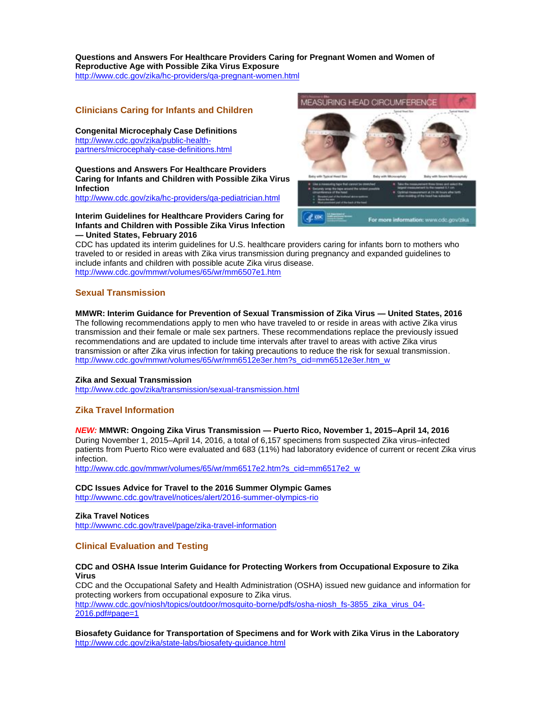#### **Questions and Answers For Healthcare Providers Caring for Pregnant Women and Women of Reproductive Age with Possible Zika Virus Exposure** <http://www.cdc.gov/zika/hc-providers/qa-pregnant-women.html>

#### **Clinicians Caring for Infants and Children**

**Congenital Microcephaly Case Definitions** [http://www.cdc.gov/zika/public-health](http://www.cdc.gov/zika/public-health-partners/microcephaly-case-definitions.html)[partners/microcephaly-case-definitions.html](http://www.cdc.gov/zika/public-health-partners/microcephaly-case-definitions.html)

**Questions and Answers For Healthcare Providers Caring for Infants and Children with Possible Zika Virus Infection**

<http://www.cdc.gov/zika/hc-providers/qa-pediatrician.html>

#### **Interim Guidelines for Healthcare Providers Caring for Infants and Children with Possible Zika Virus Infection — United States, February 2016**



CDC has updated its interim guidelines for U.S. healthcare providers caring for infants born to mothers who traveled to or resided in areas with Zika virus transmission during pregnancy and expanded guidelines to include infants and children with possible acute Zika virus disease. <http://www.cdc.gov/mmwr/volumes/65/wr/mm6507e1.htm>

#### **Sexual Transmission**

#### **MMWR: Interim Guidance for Prevention of Sexual Transmission of Zika Virus — United States, 2016**

The following recommendations apply to men who have traveled to or reside in areas with active Zika virus transmission and their female or male sex partners. These recommendations replace the previously issued recommendations and are updated to include time intervals after travel to areas with active Zika virus transmission or after Zika virus infection for taking precautions to reduce the risk for sexual transmission. [http://www.cdc.gov/mmwr/volumes/65/wr/mm6512e3er.htm?s\\_cid=mm6512e3er.htm\\_w](http://www.cdc.gov/mmwr/volumes/65/wr/mm6512e3er.htm?s_cid=mm6512e3er.htm_w)

#### **Zika and Sexual Transmission**

<http://www.cdc.gov/zika/transmission/sexual-transmission.html>

#### **Zika Travel Information**

#### *NEW:* **MMWR: Ongoing Zika Virus Transmission — Puerto Rico, November 1, 2015–April 14, 2016**

During November 1, 2015–April 14, 2016, a total of 6,157 specimens from suspected Zika virus–infected patients from Puerto Rico were evaluated and 683 (11%) had laboratory evidence of current or recent Zika virus infection.

[http://www.cdc.gov/mmwr/volumes/65/wr/mm6517e2.htm?s\\_cid=mm6517e2\\_w](http://www.cdc.gov/mmwr/volumes/65/wr/mm6517e2.htm?s_cid=mm6517e2_w)

#### **CDC Issues Advice for Travel to the 2016 Summer Olympic Games**

<http://wwwnc.cdc.gov/travel/notices/alert/2016-summer-olympics-rio>

#### **Zika Travel Notices**

<http://wwwnc.cdc.gov/travel/page/zika-travel-information>

#### **Clinical Evaluation and Testing**

#### **CDC and OSHA Issue Interim Guidance for Protecting Workers from Occupational Exposure to Zika Virus**

CDC and the Occupational Safety and Health Administration (OSHA) issued new guidance and information for protecting workers from occupational exposure to Zika virus. [http://www.cdc.gov/niosh/topics/outdoor/mosquito-borne/pdfs/osha-niosh\\_fs-3855\\_zika\\_virus\\_04-](http://www.cdc.gov/niosh/topics/outdoor/mosquito-borne/pdfs/osha-niosh_fs-3855_zika_virus_04-2016.pdf#page=1) [2016.pdf#page=1](http://www.cdc.gov/niosh/topics/outdoor/mosquito-borne/pdfs/osha-niosh_fs-3855_zika_virus_04-2016.pdf#page=1)

**Biosafety Guidance for Transportation of Specimens and for Work with Zika Virus in the Laboratory** <http://www.cdc.gov/zika/state-labs/biosafety-guidance.html>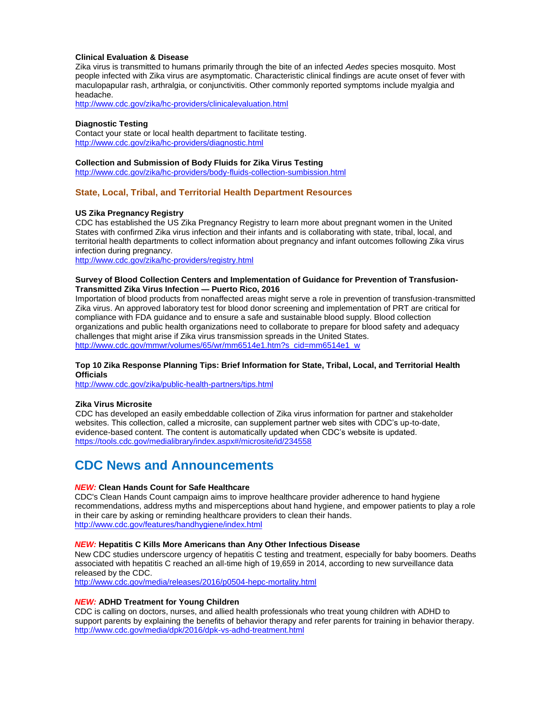#### **Clinical Evaluation & Disease**

Zika virus is transmitted to humans primarily through the bite of an infected *Aedes* species mosquito. Most people infected with Zika virus are asymptomatic. Characteristic clinical findings are acute onset of fever with maculopapular rash, arthralgia, or conjunctivitis. Other commonly reported symptoms include myalgia and headache.

<http://www.cdc.gov/zika/hc-providers/clinicalevaluation.html>

#### **Diagnostic Testing**

Contact your state or local health department to facilitate testing. <http://www.cdc.gov/zika/hc-providers/diagnostic.html>

#### **Collection and Submission of Body Fluids for Zika Virus Testing**

<http://www.cdc.gov/zika/hc-providers/body-fluids-collection-sumbission.html>

#### **State, Local, Tribal, and Territorial Health Department Resources**

#### **US Zika Pregnancy Registry**

CDC has established the US Zika Pregnancy Registry to learn more about pregnant women in the United States with confirmed Zika virus infection and their infants and is collaborating with state, tribal, local, and territorial health departments to collect information about pregnancy and infant outcomes following Zika virus infection during pregnancy.

<http://www.cdc.gov/zika/hc-providers/registry.html>

#### **Survey of Blood Collection Centers and Implementation of Guidance for Prevention of Transfusion-Transmitted Zika Virus Infection — Puerto Rico, 2016**

Importation of blood products from nonaffected areas might serve a role in prevention of transfusion-transmitted Zika virus. An approved laboratory test for blood donor screening and implementation of PRT are critical for compliance with FDA guidance and to ensure a safe and sustainable blood supply. Blood collection organizations and public health organizations need to collaborate to prepare for blood safety and adequacy challenges that might arise if Zika virus transmission spreads in the United States. [http://www.cdc.gov/mmwr/volumes/65/wr/mm6514e1.htm?s\\_cid=mm6514e1\\_w](http://www.cdc.gov/mmwr/volumes/65/wr/mm6514e1.htm?s_cid=mm6514e1_w)

#### **Top 10 Zika Response Planning Tips: Brief Information for State, Tribal, Local, and Territorial Health Officials**

<http://www.cdc.gov/zika/public-health-partners/tips.html>

#### **Zika Virus Microsite**

CDC has developed an easily embeddable collection of Zika virus information for partner and stakeholder websites. This collection, called a microsite, can supplement partner web sites with CDC's up-to-date, evidence-based content. The content is automatically updated when CDC's website is updated. <https://tools.cdc.gov/medialibrary/index.aspx#/microsite/id/234558>

### <span id="page-3-0"></span>**CDC News and Announcements**

#### *NEW:* **Clean Hands Count for Safe Healthcare**

CDC's Clean Hands Count campaign aims to improve healthcare provider adherence to hand hygiene recommendations, address myths and misperceptions about hand hygiene, and empower patients to play a role in their care by asking or reminding healthcare providers to clean their hands. <http://www.cdc.gov/features/handhygiene/index.html>

#### *NEW:* **Hepatitis C Kills More Americans than Any Other Infectious Disease**

New CDC studies underscore urgency of hepatitis C testing and treatment, especially for baby boomers. Deaths associated with hepatitis C reached an all-time high of 19,659 in 2014, according to new surveillance data released by the CDC.

<http://www.cdc.gov/media/releases/2016/p0504-hepc-mortality.html>

#### *NEW:* **ADHD Treatment for Young Children**

CDC is calling on doctors, nurses, and allied health professionals who treat young children with ADHD to support parents by explaining the benefits of behavior therapy and refer parents for training in behavior therapy. <http://www.cdc.gov/media/dpk/2016/dpk-vs-adhd-treatment.html>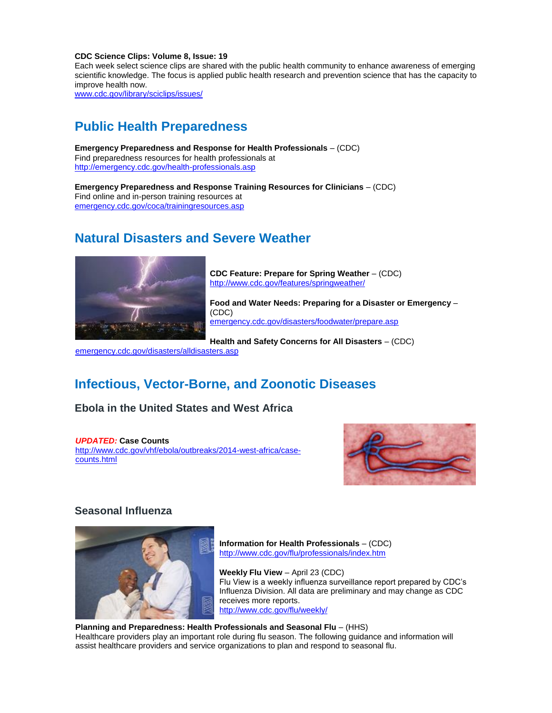#### **CDC Science Clips: Volume 8, Issue: 19**

Each week select science clips are shared with the public health community to enhance awareness of emerging scientific knowledge. The focus is applied public health research and prevention science that has the capacity to improve health now.

[www.cdc.gov/library/sciclips/issues/](http://www.cdc.gov/library/sciclips/issues/)

## <span id="page-4-0"></span>**Public Health Preparedness**

**Emergency Preparedness and Response for Health Professionals** – (CDC) Find preparedness resources for health professionals at <http://emergency.cdc.gov/health-professionals.asp>

**Emergency Preparedness and Response Training Resources for Clinicians** – (CDC) Find online and in-person training resources at [emergency.cdc.gov/coca/trainingresources.asp](http://emergency.cdc.gov/coca/trainingresources.asp?s_cid=ccu090913_006)

### <span id="page-4-1"></span>**Natural Disasters and Severe Weather**



**CDC Feature: Prepare for Spring Weather** – (CDC) <http://www.cdc.gov/features/springweather/>

**Food and Water Needs: Preparing for a Disaster or Emergency** – (CDC) [emergency.cdc.gov/disasters/foodwater/prepare.asp](http://emergency.cdc.gov/disasters/foodwater/prepare.asp?s_cid=ccu090913_007)

**Health and Safety Concerns for All Disasters** – (CDC)

[emergency.cdc.gov/disasters/alldisasters.asp](http://emergency.cdc.gov/disasters/alldisasters.asp?s_cid=ccu090913_008)

## <span id="page-4-2"></span>**Infectious, Vector-Borne, and Zoonotic Diseases**

**Ebola in the United States and West Africa**

*UPDATED:* **Case Counts** [http://www.cdc.gov/vhf/ebola/outbreaks/2014-west-africa/case](http://www.cdc.gov/vhf/ebola/outbreaks/2014-west-africa/case-counts.html)[counts.html](http://www.cdc.gov/vhf/ebola/outbreaks/2014-west-africa/case-counts.html)



### **Seasonal Influenza**



**Information for Health Professionals** – (CDC) <http://www.cdc.gov/flu/professionals/index.htm>

**Weekly Flu View** – April 23 (CDC) Flu View is a weekly influenza surveillance report prepared by CDC's Influenza Division. All data are preliminary and may change as CDC receives more reports. <http://www.cdc.gov/flu/weekly/>

**Planning and Preparedness: Health Professionals and Seasonal Flu** – (HHS) Healthcare providers play an important role during flu season. The following guidance and information will assist healthcare providers and service organizations to plan and respond to seasonal flu.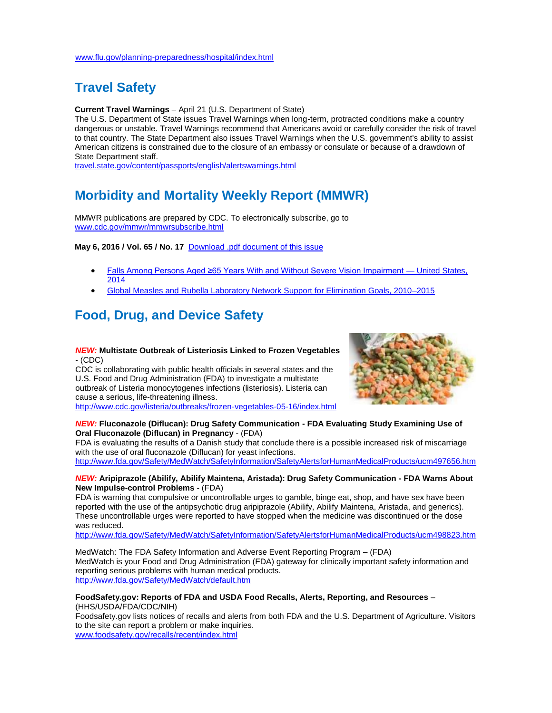### <span id="page-5-0"></span>**Travel Safety**

**Current Travel Warnings** – April 21 (U.S. Department of State)

The U.S. Department of State issues Travel Warnings when long-term, protracted conditions make a country dangerous or unstable. Travel Warnings recommend that Americans avoid or carefully consider the risk of travel to that country. The State Department also issues Travel Warnings when the U.S. government's ability to assist American citizens is constrained due to the closure of an embassy or consulate or because of a drawdown of State Department staff.

[travel.state.gov/content/passports/english/alertswarnings.html](http://travel.state.gov/content/passports/english/alertswarnings.html)

## <span id="page-5-1"></span>**Morbidity and Mortality Weekly Report (MMWR)**

MMWR publications are prepared by CDC. To electronically subscribe, go to [www.cdc.gov/mmwr/mmwrsubscribe.html](http://www.cdc.gov/mmwr/mmwrsubscribe.html)

**May 6, 2016 / Vol. 65 / No. 17** [Download .pdf document of this issue](http://www.cdc.gov/mmwr/volumes/65/wr/pdfs/mm6517.pdf)

- [Falls Among Persons Aged ≥65 Years With and Without Severe Vision Impairment —](http://www.cdc.gov/mmwr/volumes/65/wr/mm6517a2.htm?s_cid=mm6517a2_w) United States, [2014](http://www.cdc.gov/mmwr/volumes/65/wr/mm6517a2.htm?s_cid=mm6517a2_w)
- [Global Measles and Rubella Laboratory Network Support for Elimination Goals, 2010–2015](http://www.cdc.gov/mmwr/volumes/65/wr/mm6517a3.htm?s_cid=mm6517a3_w)

# <span id="page-5-2"></span>**Food, Drug, and Device Safety**

#### *NEW:* **Multistate Outbreak of Listeriosis Linked to Frozen Vegetables**  - (CDC)

CDC is collaborating with public health officials in several states and the U.S. Food and Drug Administration (FDA) to investigate a multistate outbreak of Listeria monocytogenes infections (listeriosis). Listeria can cause a serious, life-threatening illness. <http://www.cdc.gov/listeria/outbreaks/frozen-vegetables-05-16/index.html>



#### *NEW:* **Fluconazole (Diflucan): Drug Safety Communication - FDA Evaluating Study Examining Use of Oral Fluconazole (Diflucan) in Pregnancy** - (FDA)

FDA is evaluating the results of a Danish study that conclude there is a possible increased risk of miscarriage with the use of oral fluconazole (Diflucan) for yeast infections. <http://www.fda.gov/Safety/MedWatch/SafetyInformation/SafetyAlertsforHumanMedicalProducts/ucm497656.htm>

#### *NEW:* **Aripiprazole (Abilify, Abilify Maintena, Aristada): Drug Safety Communication - FDA Warns About New Impulse-control Problems** - (FDA)

FDA is warning that compulsive or uncontrollable urges to gamble, binge eat, shop, and have sex have been reported with the use of the antipsychotic drug aripiprazole (Abilify, Abilify Maintena, Aristada, and generics). These uncontrollable urges were reported to have stopped when the medicine was discontinued or the dose was reduced.

<http://www.fda.gov/Safety/MedWatch/SafetyInformation/SafetyAlertsforHumanMedicalProducts/ucm498823.htm>

MedWatch: The FDA Safety Information and Adverse Event Reporting Program – (FDA) MedWatch is your Food and Drug Administration (FDA) gateway for clinically important safety information and reporting serious problems with human medical products. <http://www.fda.gov/Safety/MedWatch/default.htm>

#### **FoodSafety.gov: Reports of FDA and USDA Food Recalls, Alerts, Reporting, and Resources** – (HHS/USDA/FDA/CDC/NIH)

Foodsafety.gov lists notices of recalls and alerts from both FDA and the U.S. Department of Agriculture. Visitors to the site can report a problem or make inquiries. [www.foodsafety.gov/recalls/recent/index.html](http://www.foodsafety.gov/recalls/recent/index.html)